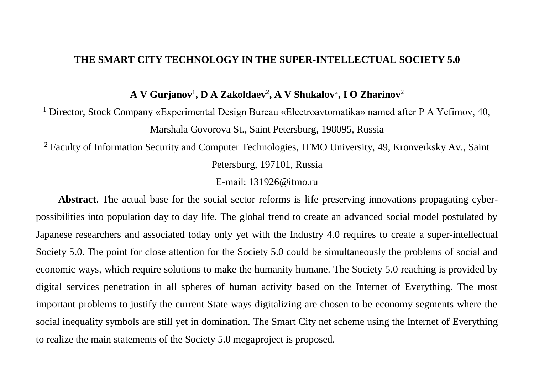## **THE SMART CITY TECHNOLOGY IN THE SUPER-INTELLECTUAL SOCIETY 5.0**

**A V Gurjanov**<sup>1</sup> **, D A Zakoldaev**<sup>2</sup> **, A V Shukalov**<sup>2</sup> **, I O Zharinov**<sup>2</sup>

<sup>1</sup> Director, Stock Company «Experimental Design Bureau «Electroavtomatika» named after P A Yefimov, 40, Marshala Govorova St., Saint Petersburg, 198095, Russia

<sup>2</sup> Faculty of Information Security and Computer Technologies, ITMO University, 49, Kronverksky Av., Saint Petersburg, 197101, Russia

E-mail: 131926@itmo.ru

**Abstract**. The actual base for the social sector reforms is life preserving innovations propagating cyberpossibilities into population day to day life. The global trend to create an advanced social model postulated by Japanese researchers and associated today only yet with the Industry 4.0 requires to create a super-intellectual Society 5.0. The point for close attention for the Society 5.0 could be simultaneously the problems of social and economic ways, which require solutions to make the humanity humane. The Society 5.0 reaching is provided by digital services penetration in all spheres of human activity based on the Internet of Everything. The most important problems to justify the current State ways digitalizing are chosen to be economy segments where the social inequality symbols are still yet in domination. The Smart City net scheme using the Internet of Everything to realize the main statements of the Society 5.0 megaproject is proposed.